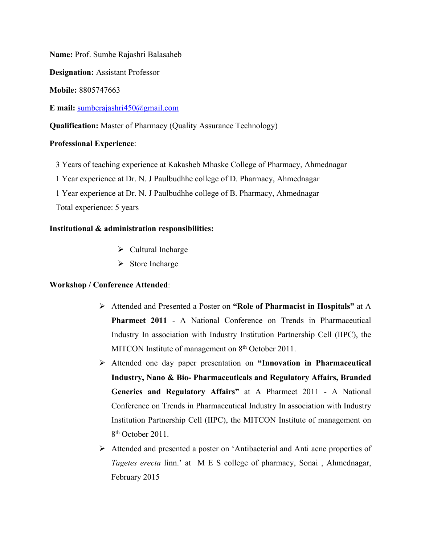**Name:** Prof. Sumbe Rajashri Balasaheb

**Designation:** Assistant Professor

**Mobile:** 8805747663

**E mail:** [sumberajashri450@gmail.com](mailto:sumberajashri450@gmail.com)

**Qualification:** Master of Pharmacy (Quality Assurance Technology)

## **Professional Experience**:

3 Years of teaching experience at Kakasheb Mhaske College of Pharmacy, Ahmednagar

1 Year experience at Dr. N. J Paulbudhhe college of D. Pharmacy, Ahmednagar

1 Year experience at Dr. N. J Paulbudhhe college of B. Pharmacy, Ahmednagar Total experience: 5 years

## **Institutional & administration responsibilities:**

- $\triangleright$  Cultural Incharge
- $\triangleright$  Store Incharge

# **Workshop / Conference Attended**:

- Attended and Presented a Poster on **"Role of Pharmacist in Hospitals"** at A **Pharmeet 2011** - A National Conference on Trends in Pharmaceutical Industry In association with Industry Institution Partnership Cell (IIPC), the MITCON Institute of management on 8<sup>th</sup> October 2011.
- Attended one day paper presentation on **"Innovation in Pharmaceutical Industry, Nano & Bio- Pharmaceuticals and Regulatory Affairs, Branded Generics and Regulatory Affairs"** at A Pharmeet 2011 - A National Conference on Trends in Pharmaceutical Industry In association with Industry Institution Partnership Cell (IIPC), the MITCON Institute of management on 8<sup>th</sup> October 2011.
- Attended and presented a poster on 'Antibacterial and Anti acne properties of *Tagetes erecta* linn.' at M E S college of pharmacy, Sonai , Ahmednagar, February 2015